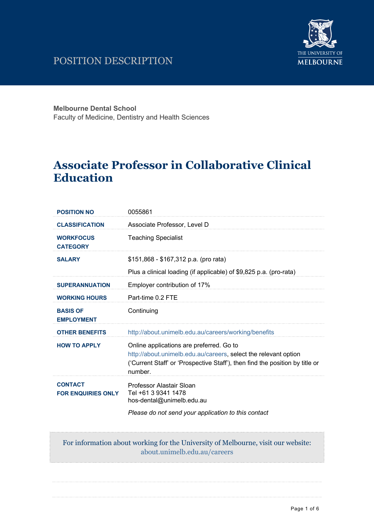# POSITION DESCRIPTION



**Melbourne Dental School**

Faculty of Medicine, Dentistry and Health Sciences

# **Associate Professor in Collaborative Clinical Education**

| <b>POSITION NO</b>                          | 0055861                                                                                                                                                                                                |
|---------------------------------------------|--------------------------------------------------------------------------------------------------------------------------------------------------------------------------------------------------------|
| <b>CLASSIFICATION</b>                       | Associate Professor, Level D                                                                                                                                                                           |
| <b>WORKFOCUS</b><br><b>CATEGORY</b>         | <b>Teaching Specialist</b>                                                                                                                                                                             |
| <b>SALARY</b>                               | \$151,868 - \$167,312 p.a. (pro rata)                                                                                                                                                                  |
|                                             | Plus a clinical loading (if applicable) of \$9,825 p.a. (pro-rata)                                                                                                                                     |
| <b>SUPERANNUATION</b>                       | Employer contribution of 17%                                                                                                                                                                           |
| <b>WORKING HOURS</b>                        | Part-time 0.2 FTE                                                                                                                                                                                      |
| <b>BASIS OF</b><br><b>EMPLOYMENT</b>        | Continuing                                                                                                                                                                                             |
| <b>OTHER BENEFITS</b>                       | http://about.unimelb.edu.au/careers/working/benefits                                                                                                                                                   |
| <b>HOW TO APPLY</b>                         | Online applications are preferred. Go to<br>http://about.unimelb.edu.au/careers, select the relevant option<br>('Current Staff' or 'Prospective Staff'), then find the position by title or<br>number. |
| <b>CONTACT</b><br><b>FOR ENQUIRIES ONLY</b> | Professor Alastair Sloan<br>Tel +61 3 9341 1478<br>hos-dental@unimelb.edu.au                                                                                                                           |
|                                             | Please do not send your application to this contact                                                                                                                                                    |

For information about working for the University of Melbourne, visit our website: about.unimelb.edu.au/careers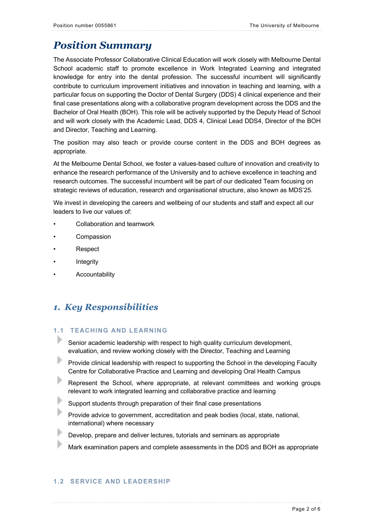# *Position Summary*

The Associate Professor Collaborative Clinical Education will work closely with Melbourne Dental School academic staff to promote excellence in Work Integrated Learning and integrated knowledge for entry into the dental profession. The successful incumbent will significantly contribute to curriculum improvement initiatives and innovation in teaching and learning, with a particular focus on supporting the Doctor of Dental Surgery (DDS) 4 clinical experience and their final case presentations along with a collaborative program development across the DDS and the Bachelor of Oral Health (BOH). This role will be actively supported by the Deputy Head of School and will work closely with the Academic Lead, DDS 4, Clinical Lead DDS4, Director of the BOH and Director, Teaching and Learning.

The position may also teach or provide course content in the DDS and BOH degrees as appropriate.

At the Melbourne Dental School, we foster a values-based culture of innovation and creativity to enhance the research performance of the University and to achieve excellence in teaching and research outcomes. The successful incumbent will be part of our dedicated Team focusing on strategic reviews of education, research and organisational structure, also known as MDS'25.

We invest in developing the careers and wellbeing of our students and staff and expect all our leaders to live our values of:

- Collaboration and teamwork
- **Compassion**
- Respect
- **Integrity**
- **Accountability**

# *1. Key Responsibilities*

## **1.1 TEACHING AND LEARNING**

- Senior academic leadership with respect to high quality curriculum development, evaluation, and review working closely with the Director, Teaching and Learning
- Þ Provide clinical leadership with respect to supporting the School in the developing Faculty Centre for Collaborative Practice and Learning and developing Oral Health Campus
- Represent the School, where appropriate, at relevant committees and working groups relevant to work integrated learning and collaborative practice and learning
- Support students through preparation of their final case presentations
- Provide advice to government, accreditation and peak bodies (local, state, national, international) where necessary
- Develop, prepare and deliver lectures, tutorials and seminars as appropriate
- Mark examination papers and complete assessments in the DDS and BOH as appropriate

## **1.2 SERVICE AND LEADERSHIP**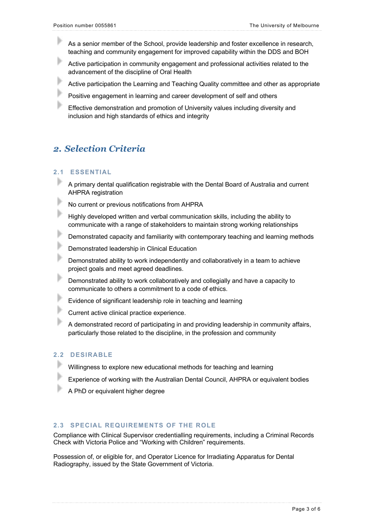- As a senior member of the School, provide leadership and foster excellence in research, teaching and community engagement for improved capability within the DDS and BOH
- Active participation in community engagement and professional activities related to the advancement of the discipline of Oral Health
- Active participation the Learning and Teaching Quality committee and other as appropriate
- b Positive engagement in learning and career development of self and others
- Effective demonstration and promotion of University values including diversity and inclusion and high standards of ethics and integrity

## *2. Selection Criteria*

#### **2.1 ESSENTIAL**

- A primary dental qualification registrable with the Dental Board of Australia and current AHPRA registration
- ь No current or previous notifications from AHPRA
- Highly developed written and verbal communication skills, including the ability to communicate with a range of stakeholders to maintain strong working relationships
- Þ Demonstrated capacity and familiarity with contemporary teaching and learning methods
- b Demonstrated leadership in Clinical Education
- Demonstrated ability to work independently and collaboratively in a team to achieve project goals and meet agreed deadlines.
- Þ Demonstrated ability to work collaboratively and collegially and have a capacity to communicate to others a commitment to a code of ethics.
- Þ Evidence of significant leadership role in teaching and learning
- Current active clinical practice experience.
- A demonstrated record of participating in and providing leadership in community affairs, particularly those related to the discipline, in the profession and community

### **2.2 DESIRABLE**

- Willingness to explore new educational methods for teaching and learning
- Experience of working with the Australian Dental Council, AHPRA or equivalent bodies
- A PhD or equivalent higher degree

### **2.3 SPECIAL REQUIREMENTS OF THE ROLE**

Compliance with Clinical Supervisor credentialling requirements, including a Criminal Records Check with Victoria Police and "Working with Children" requirements.

Possession of, or eligible for, and Operator Licence for Irradiating Apparatus for Dental Radiography, issued by the State Government of Victoria.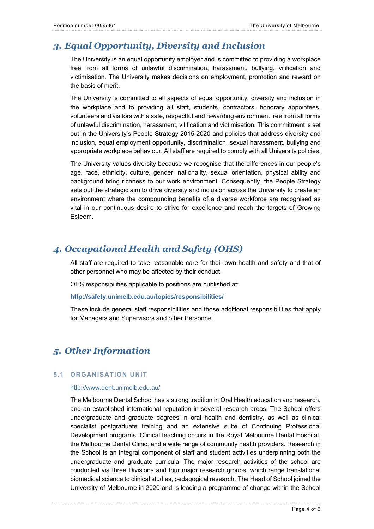# *3. Equal Opportunity, Diversity and Inclusion*

The University is an equal opportunity employer and is committed to providing a workplace free from all forms of unlawful discrimination, harassment, bullying, vilification and victimisation. The University makes decisions on employment, promotion and reward on the basis of merit.

The University is committed to all aspects of equal opportunity, diversity and inclusion in the workplace and to providing all staff, students, contractors, honorary appointees, volunteers and visitors with a safe, respectful and rewarding environment free from all forms of unlawful discrimination, harassment, vilification and victimisation. This commitment is set out in the University's People Strategy 2015-2020 and policies that address diversity and inclusion, equal employment opportunity, discrimination, sexual harassment, bullying and appropriate workplace behaviour. All staff are required to comply with all University policies.

The University values diversity because we recognise that the differences in our people's age, race, ethnicity, culture, gender, nationality, sexual orientation, physical ability and background bring richness to our work environment. Consequently, the People Strategy sets out the strategic aim to drive diversity and inclusion across the University to create an environment where the compounding benefits of a diverse workforce are recognised as vital in our continuous desire to strive for excellence and reach the targets of Growing Esteem.

# *4. Occupational Health and Safety (OHS)*

All staff are required to take reasonable care for their own health and safety and that of other personnel who may be affected by their conduct.

OHS responsibilities applicable to positions are published at:

**http://safety.unimelb.edu.au/topics/responsibilities/**

These include general staff responsibilities and those additional responsibilities that apply for Managers and Supervisors and other Personnel.

# *5. Other Information*

### **5.1 ORGANISATION UNIT**

#### http://www.dent.unimelb.edu.au/

The Melbourne Dental School has a strong tradition in Oral Health education and research, and an established international reputation in several research areas. The School offers undergraduate and graduate degrees in oral health and dentistry, as well as clinical specialist postgraduate training and an extensive suite of Continuing Professional Development programs. Clinical teaching occurs in the Royal Melbourne Dental Hospital, the Melbourne Dental Clinic, and a wide range of community health providers. Research in the School is an integral component of staff and student activities underpinning both the undergraduate and graduate curricula. The major research activities of the school are conducted via three Divisions and four major research groups, which range translational biomedical science to clinical studies, pedagogical research. The Head of School joined the University of Melbourne in 2020 and is leading a programme of change within the School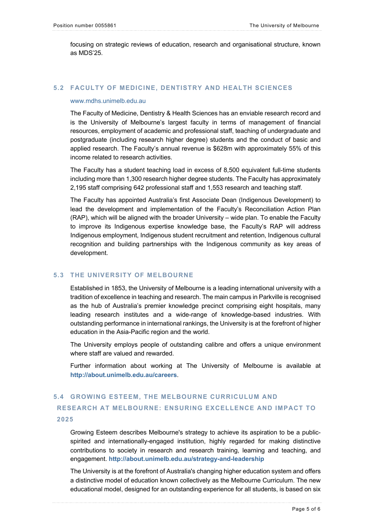focusing on strategic reviews of education, research and organisational structure, known as MDS'25.

### **5.2 FACULTY OF MEDICINE, DENTISTRY AND HEALTH SCIENCES**

#### www.mdhs.unimelb.edu.au

The Faculty of Medicine, Dentistry & Health Sciences has an enviable research record and is the University of Melbourne's largest faculty in terms of management of financial resources, employment of academic and professional staff, teaching of undergraduate and postgraduate (including research higher degree) students and the conduct of basic and applied research. The Faculty's annual revenue is \$628m with approximately 55% of this income related to research activities.

The Faculty has a student teaching load in excess of 8,500 equivalent full-time students including more than 1,300 research higher degree students. The Faculty has approximately 2,195 staff comprising 642 professional staff and 1,553 research and teaching staff.

The Faculty has appointed Australia's first Associate Dean (Indigenous Development) to lead the development and implementation of the Faculty's Reconciliation Action Plan (RAP), which will be aligned with the broader University – wide plan. To enable the Faculty to improve its Indigenous expertise knowledge base, the Faculty's RAP will address Indigenous employment, Indigenous student recruitment and retention, Indigenous cultural recognition and building partnerships with the Indigenous community as key areas of development.

#### **5.3 THE UNIVERSITY OF MELBOURNE**

Established in 1853, the University of Melbourne is a leading international university with a tradition of excellence in teaching and research. The main campus in Parkville is recognised as the hub of Australia's premier knowledge precinct comprising eight hospitals, many leading research institutes and a wide-range of knowledge-based industries. With outstanding performance in international rankings, the University is at the forefront of higher education in the Asia-Pacific region and the world.

The University employs people of outstanding calibre and offers a unique environment where staff are valued and rewarded.

Further information about working at The University of Melbourne is available at **http://about.unimelb.edu.au/careers**.

## **5.4 GROWING ESTEEM, THE MELBOURNE CURRICULUM AND RESEARCH AT MELBOURNE: ENSURING EXCELLENCE AND IMPACT TO 2025**

Growing Esteem describes Melbourne's strategy to achieve its aspiration to be a publicspirited and internationally-engaged institution, highly regarded for making distinctive contributions to society in research and research training, learning and teaching, and engagement. **http://about.unimelb.edu.au/strategy-and-leadership**

The University is at the forefront of Australia's changing higher education system and offers a distinctive model of education known collectively as the Melbourne Curriculum. The new educational model, designed for an outstanding experience for all students, is based on six